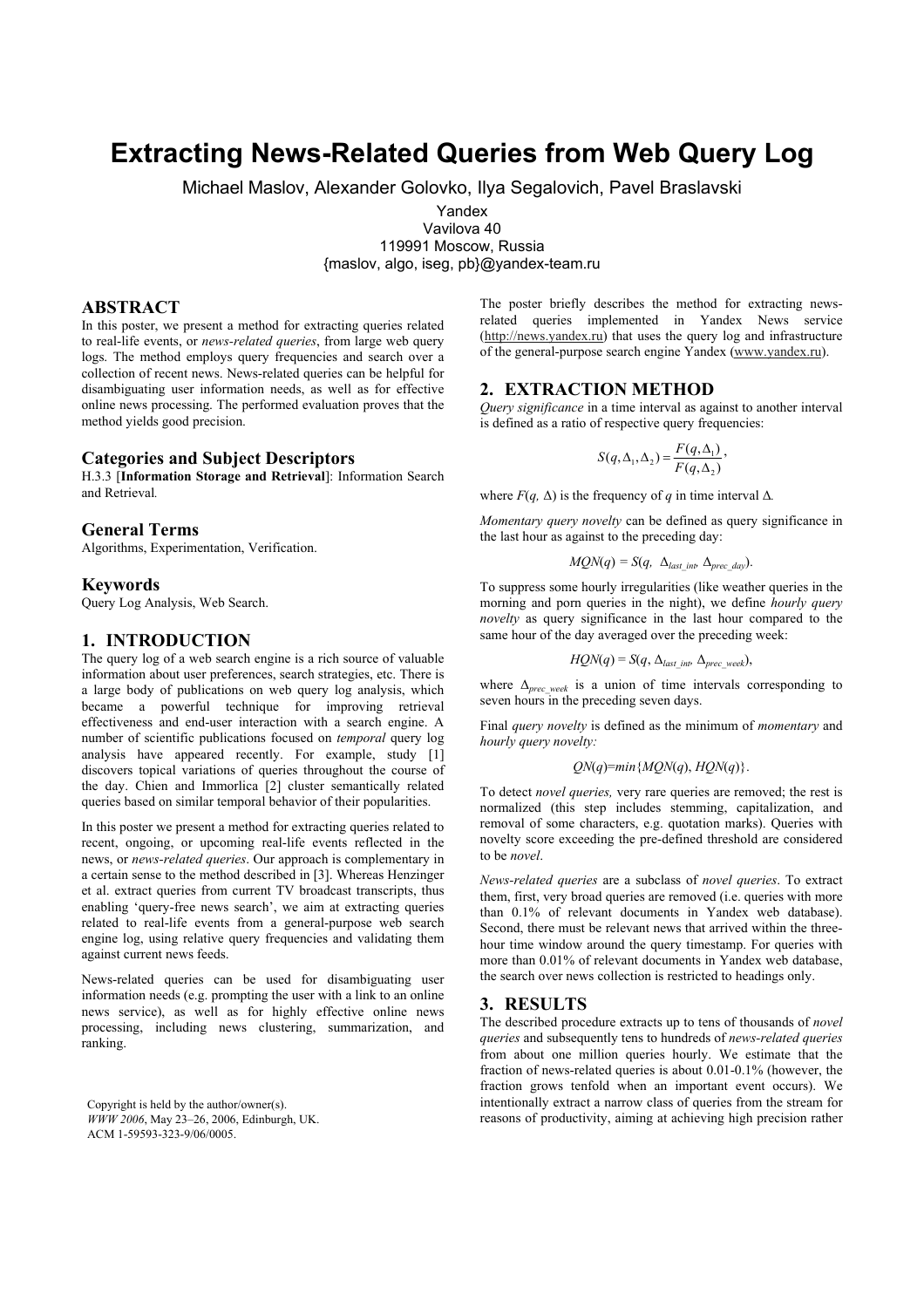# **Extracting News-Related Queries from Web Query Log**

Michael Maslov, Alexander Golovko, Ilya Segalovich, Pavel Braslavski

Yandex

Vavilova 40

119991 Moscow, Russia

{maslov, algo, iseg, pb}@yandex-team.ru

# **ABSTRACT**

In this poster, we present a method for extracting queries related to real-life events, or *news-related queries*, from large web query logs. The method employs query frequencies and search over a collection of recent news. News-related queries can be helpful for disambiguating user information needs, as well as for effective online news processing. The performed evaluation proves that the method yields good precision.

## **Categories and Subject Descriptors**

H.3.3 [**Information Storage and Retrieval**]: Information Search and Retrieval*.* 

## **General Terms**

Algorithms, Experimentation, Verification.

#### **Keywords**

Query Log Analysis, Web Search.

## **1. INTRODUCTION**

The query log of a web search engine is a rich source of valuable information about user preferences, search strategies, etc. There is a large body of publications on web query log analysis, which became a powerful technique for improving retrieval effectiveness and end-user interaction with a search engine. A number of scientific publications focused on *temporal* query log analysis have appeared recently. For example, study [1] discovers topical variations of queries throughout the course of the day. Chien and Immorlica [2] cluster semantically related queries based on similar temporal behavior of their popularities.

In this poster we present a method for extracting queries related to recent, ongoing, or upcoming real-life events reflected in the news, or *news-related queries*. Our approach is complementary in a certain sense to the method described in [3]. Whereas Henzinger et al. extract queries from current TV broadcast transcripts, thus enabling 'query-free news search', we aim at extracting queries related to real-life events from a general-purpose web search engine log, using relative query frequencies and validating them against current news feeds.

News-related queries can be used for disambiguating user information needs (e.g. prompting the user with a link to an online news service), as well as for highly effective online news processing, including news clustering, summarization, and ranking.

Copyright is held by the author/owner(s). *WWW 2006*, May 23–26, 2006, Edinburgh, UK. ACM 1-59593-323-9/06/0005.

The poster briefly describes the method for extracting newsrelated queries implemented in Yandex News service (http://news.yandex.ru) that uses the query log and infrastructure of the general-purpose search engine Yandex (www.yandex.ru).

# **2. EXTRACTION METHOD**

*Query significance* in a time interval as against to another interval is defined as a ratio of respective query frequencies:

$$
S(q, \Delta_1, \Delta_2) = \frac{F(q, \Delta_1)}{F(q, \Delta_2)},
$$

where  $F(q, \Delta)$  is the frequency of *q* in time interval  $\Delta$ *.* 

*Momentary query novelty* can be defined as query significance in the last hour as against to the preceding day:

$$
MQN(q) = S(q, \ \Delta_{last\ int}, \Delta_{prec\ day}).
$$

To suppress some hourly irregularities (like weather queries in the morning and porn queries in the night), we define *hourly query novelty* as query significance in the last hour compared to the same hour of the day averaged over the preceding week:

$$
HQN(q) = S(q, \Delta_{last~int}, \Delta_{prec~week}),
$$

where ∆*prec\_week* is a union of time intervals corresponding to seven hours in the preceding seven days.

Final *query novelty* is defined as the minimum of *momentary* and *hourly query novelty:*

$$
QN(q)=min\{MQN(q), HQN(q)\}.
$$

To detect *novel queries,* very rare queries are removed; the rest is normalized (this step includes stemming, capitalization, and removal of some characters, e.g. quotation marks). Queries with novelty score exceeding the pre-defined threshold are considered to be *novel*.

*News-related queries* are a subclass of *novel queries*. To extract them, first, very broad queries are removed (i.e. queries with more than 0.1% of relevant documents in Yandex web database). Second, there must be relevant news that arrived within the threehour time window around the query timestamp. For queries with more than 0.01% of relevant documents in Yandex web database, the search over news collection is restricted to headings only.

## **3. RESULTS**

The described procedure extracts up to tens of thousands of *novel queries* and subsequently tens to hundreds of *news-related queries* from about one million queries hourly. We estimate that the fraction of news-related queries is about 0.01-0.1% (however, the fraction grows tenfold when an important event occurs). We intentionally extract a narrow class of queries from the stream for reasons of productivity, aiming at achieving high precision rather